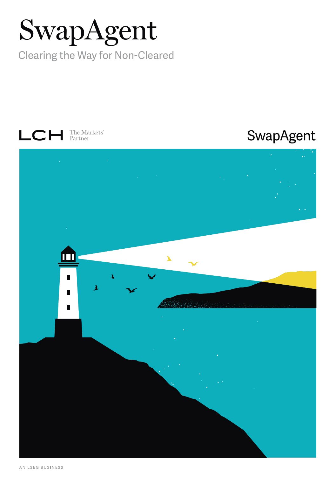# SwapAgent

Clearing the Way for Non-Cleared



# SwapAgent

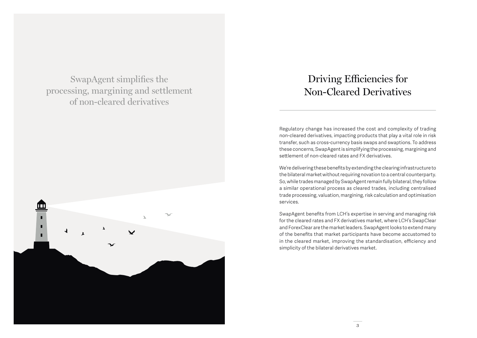SwapAgent simplifies the processing, margining and settlement of non-cleared derivatives



## Driving Efficiencies for Non-Cleared Derivatives

Regulatory change has increased the cost and complexity of trading non-cleared derivatives, impacting products that play a vital role in risk transfer, such as cross-currency basis swaps and swaptions. To address these concerns, SwapAgent is simplifying the processing, margining and settlement of non-cleared rates and FX derivatives.

We're delivering these benefits by extending the clearing infrastructure to the bilateral market without requiring novation to a central counterparty. So, while trades managed by SwapAgent remain fully bilateral, they follow a similar operational process as cleared trades, including centralised trade processing, valuation, margining, risk calculation and optimisation services.

SwapAgent benefits from LCH's expertise in serving and managing risk for the cleared rates and FX derivatives market, where LCH's SwapClear and ForexClear are the market leaders. SwapAgent looks to extend many of the benefits that market participants have become accustomed to in the cleared market, improving the standardisation, efficiency and simplicity of the bilateral derivatives market.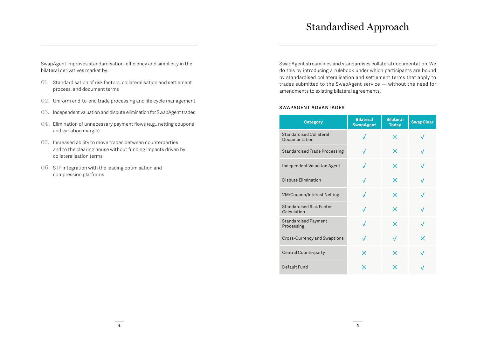### Standardised Approach

SwapAgent improves standardisation, efficiency and simplicity in the bilateral derivatives market by:

- 01. Standardisation of risk factors, collateralisation and settlement process, and document terms
- 02. Uniform end-to-end trade processing and life cycle management
- 03. Independent valuation and dispute elimination for SwapAgent trades
- 04. Elimination of unnecessary payment flows (e.g., netting coupons and variation margin)
- 05. Increased ability to move trades between counterparties and to the clearing house without funding impacts driven by collateralisation terms
- 06. STP integration with the leading optimisation and compression platforms

SwapAgent streamlines and standardises collateral documentation. We do this by introducing a rulebook under which participants are bound by standardised collateralisation and settlement terms that apply to trades submitted to the SwapAgent service — without the need for amendments to existing bilateral agreements.

#### **SWAPAGENT ADVANTAGES**

| <b>Category</b>                                 | <b>Bilateral</b><br><b>SwapAgent</b> | <b>Bilateral</b><br><b>Today</b> | <b>SwapClear</b> |
|-------------------------------------------------|--------------------------------------|----------------------------------|------------------|
| <b>Standardised Collateral</b><br>Documentation | $\sqrt{ }$                           | X                                |                  |
| <b>Standardised Trade Processing</b>            | $\sqrt{ }$                           | X                                |                  |
| Independent Valuation Agent                     | $\sqrt{}$                            | X                                | J                |
| Dispute Elimination                             | $\sqrt{ }$                           | $\times$                         | $\sqrt{}$        |
| <b>VM/Coupon/Interest Netting</b>               | $\sqrt{ }$                           | $\times$                         | $\sqrt{}$        |
| <b>Standardised Risk Factor</b><br>Calculation  | $\sqrt{ }$                           | $\times$                         | $\sqrt{}$        |
| <b>Standardised Payment</b><br>Processing       | $\sqrt{ }$                           | $\times$                         | $\sqrt{}$        |
| <b>Cross-Currency and Swaptions</b>             | $\sqrt{}$                            | J                                | $\times$         |
| <b>Central Counterparty</b>                     | $\times$                             | $\times$                         | $\sqrt{}$        |
| Default Fund                                    | $\times$                             | x                                | $\cdot$          |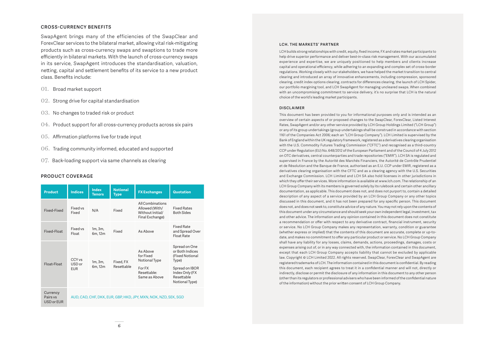#### **CROSS-CURRENCY BENEFITS**

SwapAgent brings many of the efficiencies of the SwapClear and ForexClear services to the bilateral market, allowing vital risk-mitigating products such as cross-currency swaps and swaptions to trade more efficiently in bilateral markets. With the launch of cross-currency swaps in its service, SwapAgent introduces the standardisation, valuation, netting, capital and settlement benefits of its service to a new product class. Benefits include:

- 01. Broad market support
- 02. Strong drive for capital standardisation
- 03. No changes to traded risk or product
- 04. Product support for all cross-currency products across six pairs
- 05. Affirmation platforms live for trade input
- 06. Trading community informed, educated and supported
- 07. Back-loading support via same channels as clearing

#### **PRODUCT COVERAGE**

| <b>Product</b>                     | <b>Indices</b>                                                  | Index<br><b>Tenors</b> | <b>Notional</b><br><b>Type</b> | <b>FX Exchanges</b>                                                              | Quotation                                                                                                                        |  |
|------------------------------------|-----------------------------------------------------------------|------------------------|--------------------------------|----------------------------------------------------------------------------------|----------------------------------------------------------------------------------------------------------------------------------|--|
| Fixed-Fixed                        | Fixed vs<br>Fixed                                               | N/A                    | Fixed                          | <b>AllCombinations</b><br>Allowed (With/<br>Without Initial/<br>Final Exchange)  | <b>Fixed Rates</b><br><b>Both Sides</b>                                                                                          |  |
| Fixed-Float                        | Fixed vs<br><b>Float</b>                                        | 1m, 3m,<br>6m. 12m     | Fixed                          | As Ahove                                                                         | <b>Fixed Rate</b><br>and Spread Over<br>Float Rate                                                                               |  |
| Float-Float                        | CCY <sub>vs</sub><br>USD or<br><b>EUR</b>                       | 1m, 3m,<br>6m, 12m     | Fixed, FX<br>Resettable        | As Ahove<br>for Fixed<br>Notional Type<br>For FX<br>Resettable:<br>Same as Above | Spread on One<br>or Both Indices<br>(Fixed Notional<br>Type)<br>Spread on IBOR<br>Index Only (FX<br>Resettable<br>Notional Type) |  |
| Currency<br>Pairs vs<br>USD or EUR | AUD, CAD, CHF, DKK, EUR, GBP, HKD, JPY, MXN, NOK, NZD, SEK, SGD |                        |                                |                                                                                  |                                                                                                                                  |  |

#### **LCH. THE MARKETS' PARTNER**

LCH builds strong relationships with credit, equity, fixed income, FX and rates market participants to help drive superior performance and deliver best-in-class risk management. With our accumulated experience and expertise, we are uniquely positioned to help members and clients increase capital and operational efficiency, while adhering to an expanding and complex set of cross-border regulations. Working closely with our stakeholders, we have helped the market transition to central clearing and introduced an array of innovative enhancements, including compression, sponsored clearing, credit index options clearing, contracts for differences clearing, the launch of LCH Spider, our portfolio margining tool, and LCH SwapAgent for managing uncleared swaps. When combined with an uncompromising commitment to service delivery, it's no surprise that LCH is the natural choice of the world's leading market participants.

#### **DISCLAIMER**

This document has been provided to you for informational purposes only and is intended as an overview of certain aspects of or proposed changes to the SwapClear, ForexClear, Listed Interest Rates, SwapAgent and/or any other service provided by LCH Group Holdings Limited ("LCH Group") or any of its group undertakings (group undertakings shall be construed in accordance with section 1161 of the Companies Act 2006; each an "LCH Group Company"). LCH Limited is supervised by the Bank of England within the UK regulatory framework, registered as a derivatives clearing organisation with the U.S. Commodity Futures Trading Commission ("CFTC") and recognised as a third-country CCP under Regulation (EU) No. 648/2012 of the European Parliament and of the Council of 4 July 2012 on OTC derivatives, central counterparties and trade repositories ("EMIR"). LCH SA is regulated and supervised in France by the Autorité des Marchés Financiers, the Autorité de Contrôle Prudentiel et de Résolution and the Banque de France, authorised as an E.U. CCP under EMIR, registered as a derivatives clearing organisation with the CFTC and as a clearing agency with the U.S. Securities and Exchange Commission. LCH Limited and LCH SA also hold licenses in other jurisdictions in which they offer their services. More information is available at www.lch.com. The relationship of an LCH Group Company with its members is governed solely by its rulebook and certain other ancillary documentation, as applicable. This document does not, and does not purport to, contain a detailed description of any aspect of a service provided by an LCH Group Company or any other topics discussed in this document, and it has not been prepared for any specific person. This document does not, and does not seek to, constitute advice of any nature. You may not rely upon the contents of this document under any circumstance and should seek your own independent legal, investment, tax and other advice. The information and any opinion contained in this document does not constitute a recommendation or offer with respect to any derivative contract, financial instrument, security or service. No LCH Group Company makes any representation, warranty, condition or guarantee (whether express or implied) that the contents of this document are accurate, complete or up-todate, and makes no commitment to offer any particular product or service. No LCH Group Company shall have any liability for any losses, claims, demands, actions, proceedings, damages, costs or expenses arising out of, or in any way connected with, the information contained in this document, except that each LCH Group Company accepts liability that cannot be excluded by applicable law. Copyright © LCH Limited 2022. All rights reserved. SwapClear, ForexClear and SwapAgent are registered trademarks of LCH. The information contained in this document is confidential. By reading this document, each recipient agrees to treat it in a confidential manner and will not, directly or indirectly, disclose or permit the disclosure of any information in this document to any other person (other than its regulators or professional advisers who have been informed of the confidential nature of the information) without the prior written consent of LCH Group Company.